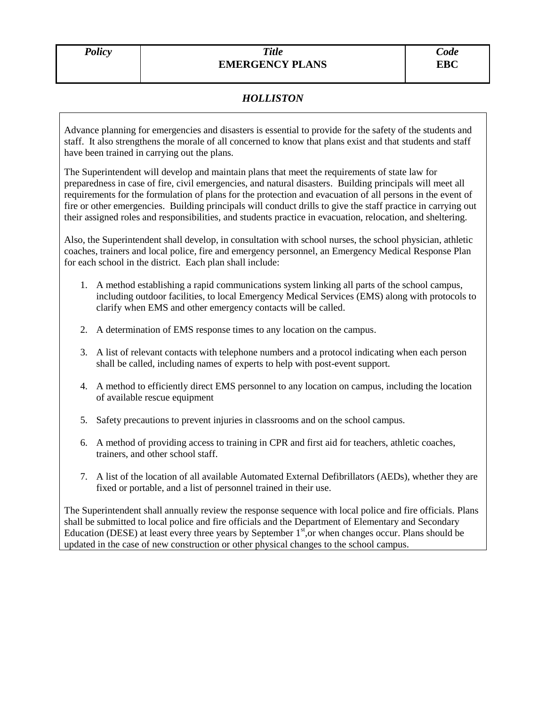## *HOLLISTON*

Advance planning for emergencies and disasters is essential to provide for the safety of the students and staff. It also strengthens the morale of all concerned to know that plans exist and that students and staff have been trained in carrying out the plans.

The Superintendent will develop and maintain plans that meet the requirements of state law for preparedness in case of fire, civil emergencies, and natural disasters. Building principals will meet all requirements for the formulation of plans for the protection and evacuation of all persons in the event of fire or other emergencies. Building principals will conduct drills to give the staff practice in carrying out their assigned roles and responsibilities, and students practice in evacuation, relocation, and sheltering.

Also, the Superintendent shall develop, in consultation with school nurses, the school physician, athletic coaches, trainers and local police, fire and emergency personnel, an Emergency Medical Response Plan for each school in the district. Each plan shall include:

- 1. A method establishing a rapid communications system linking all parts of the school campus, including outdoor facilities, to local Emergency Medical Services (EMS) along with protocols to clarify when EMS and other emergency contacts will be called.
- 2. A determination of EMS response times to any location on the campus.
- 3. A list of relevant contacts with telephone numbers and a protocol indicating when each person shall be called, including names of experts to help with post-event support.
- 4. A method to efficiently direct EMS personnel to any location on campus, including the location of available rescue equipment
- 5. Safety precautions to prevent injuries in classrooms and on the school campus.
- 6. A method of providing access to training in CPR and first aid for teachers, athletic coaches, trainers, and other school staff.
- 7. A list of the location of all available Automated External Defibrillators (AEDs), whether they are fixed or portable, and a list of personnel trained in their use.

The Superintendent shall annually review the response sequence with local police and fire officials. Plans shall be submitted to local police and fire officials and the Department of Elementary and Secondary Education (DESE) at least every three years by September  $1<sup>st</sup>$ , or when changes occur. Plans should be updated in the case of new construction or other physical changes to the school campus.